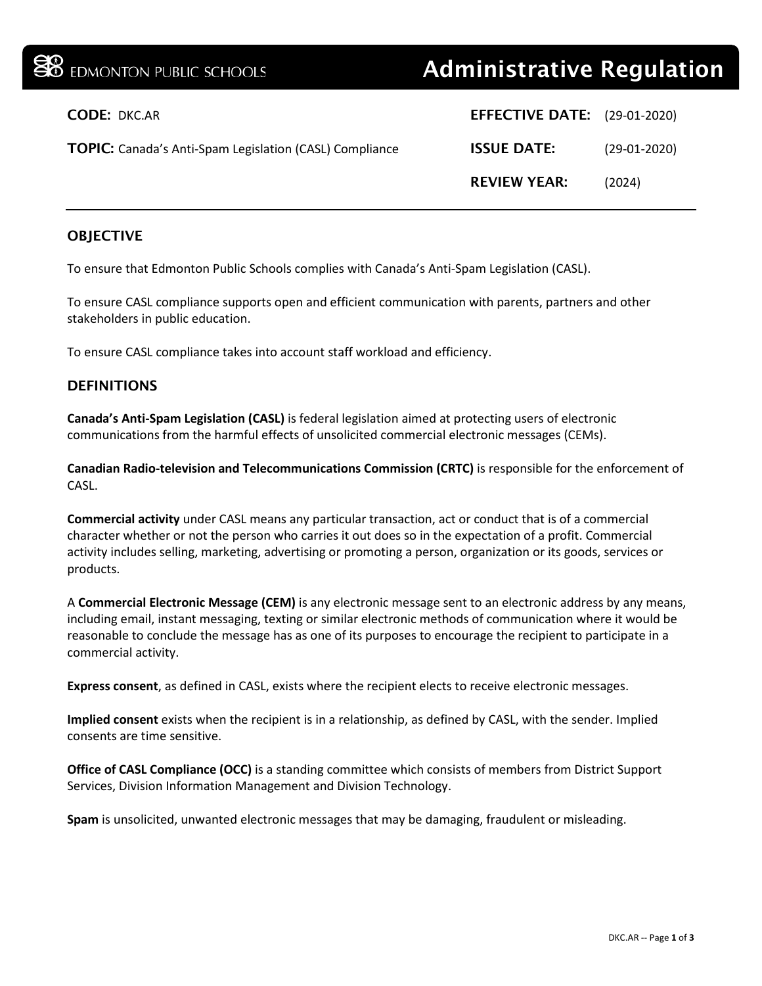| <b>BO</b> EDMONTON PUBLIC SCHOOLS                              | <b>Administrative Regulation</b>    |                |
|----------------------------------------------------------------|-------------------------------------|----------------|
| <b>CODE: DKC.AR</b>                                            | <b>EFFECTIVE DATE:</b> (29-01-2020) |                |
| <b>TOPIC:</b> Canada's Anti-Spam Legislation (CASL) Compliance | <b>ISSUE DATE:</b>                  | $(29-01-2020)$ |
|                                                                | <b>REVIEW YEAR:</b>                 | (2024)         |
|                                                                |                                     |                |

### **OBJECTIVE**

To ensure that Edmonton Public Schools complies with Canada's Anti-Spam Legislation (CASL).

To ensure CASL compliance supports open and efficient communication with parents, partners and other stakeholders in public education.

To ensure CASL compliance takes into account staff workload and efficiency.

#### **DEFINITIONS**

**Canada's Anti-Spam Legislation (CASL)** is federal legislation aimed at protecting users of electronic communications from the harmful effects of unsolicited commercial electronic messages (CEMs).

**Canadian Radio-television and Telecommunications Commission (CRTC)** is responsible for the enforcement of CASL.

**Commercial activity** under CASL means any particular transaction, act or conduct that is of a commercial character whether or not the person who carries it out does so in the expectation of a profit. Commercial activity includes selling, marketing, advertising or promoting a person, organization or its goods, services or products.

A **Commercial Electronic Message (CEM)** is any electronic message sent to an electronic address by any means, including email, instant messaging, texting or similar electronic methods of communication where it would be reasonable to conclude the message has as one of its purposes to encourage the recipient to participate in a commercial activity.

**Express consent**, as defined in CASL, exists where the recipient elects to receive electronic messages.

**Implied consent** exists when the recipient is in a relationship, as defined by CASL, with the sender. Implied consents are time sensitive.

**Office of CASL Compliance (OCC)** is a standing committee which consists of members from District Support Services, Division Information Management and Division Technology.

**Spam** is unsolicited, unwanted electronic messages that may be damaging, fraudulent or misleading.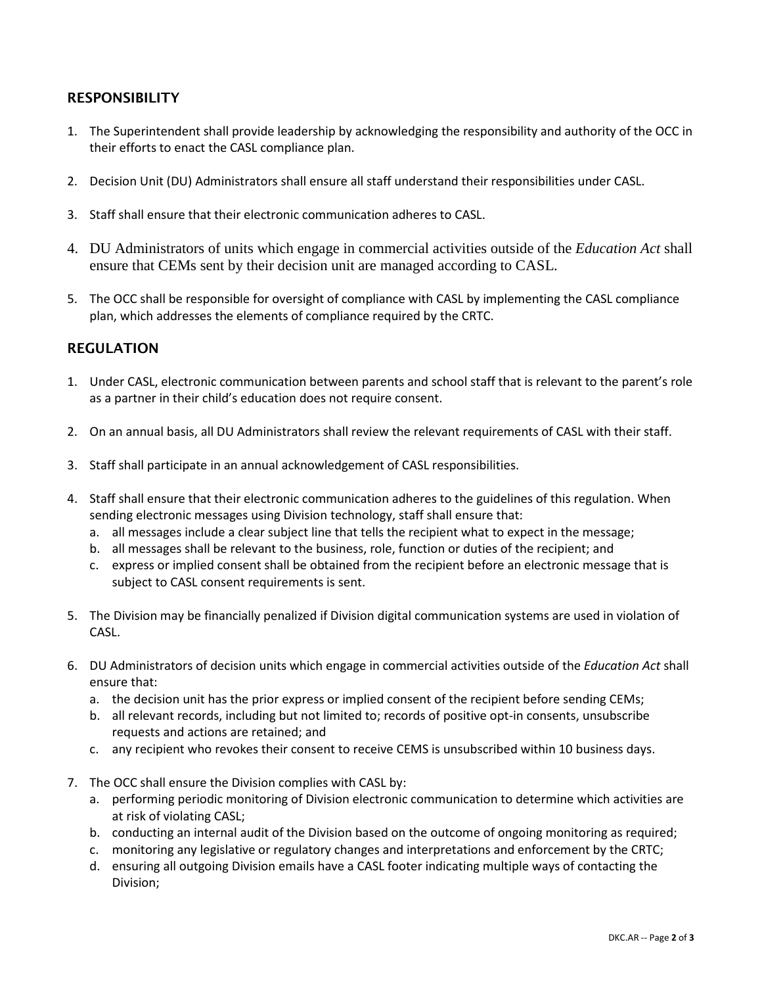# RESPONSIBILITY

- 1. The Superintendent shall provide leadership by acknowledging the responsibility and authority of the OCC in their efforts to enact the CASL compliance plan.
- 2. Decision Unit (DU) Administrators shall ensure all staff understand their responsibilities under CASL.
- 3. Staff shall ensure that their electronic communication adheres to CASL.
- 4. DU Administrators of units which engage in commercial activities outside of the *Education Act* shall ensure that CEMs sent by their decision unit are managed according to CASL.
- 5. The OCC shall be responsible for oversight of compliance with CASL by implementing the CASL compliance plan, which addresses the elements of compliance required by the CRTC.

# REGULATION

- 1. Under CASL, electronic communication between parents and school staff that is relevant to the parent's role as a partner in their child's education does not require consent.
- 2. On an annual basis, all DU Administrators shall review the relevant requirements of CASL with their staff.
- 3. Staff shall participate in an annual acknowledgement of CASL responsibilities.
- 4. Staff shall ensure that their electronic communication adheres to the guidelines of this regulation. When sending electronic messages using Division technology, staff shall ensure that:
	- a. all messages include a clear subject line that tells the recipient what to expect in the message;
	- b. all messages shall be relevant to the business, role, function or duties of the recipient; and
	- c. express or implied consent shall be obtained from the recipient before an electronic message that is subject to CASL consent requirements is sent.
- 5. The Division may be financially penalized if Division digital communication systems are used in violation of CASL.
- 6. DU Administrators of decision units which engage in commercial activities outside of the *Education Act* shall ensure that:
	- a. the decision unit has the prior express or implied consent of the recipient before sending CEMs;
	- b. all relevant records, including but not limited to; records of positive opt-in consents, unsubscribe requests and actions are retained; and
	- c. any recipient who revokes their consent to receive CEMS is unsubscribed within 10 business days.
- 7. The OCC shall ensure the Division complies with CASL by:
	- a. performing periodic monitoring of Division electronic communication to determine which activities are at risk of violating CASL;
	- b. conducting an internal audit of the Division based on the outcome of ongoing monitoring as required;
	- c. monitoring any legislative or regulatory changes and interpretations and enforcement by the CRTC;
	- d. ensuring all outgoing Division emails have a CASL footer indicating multiple ways of contacting the Division;